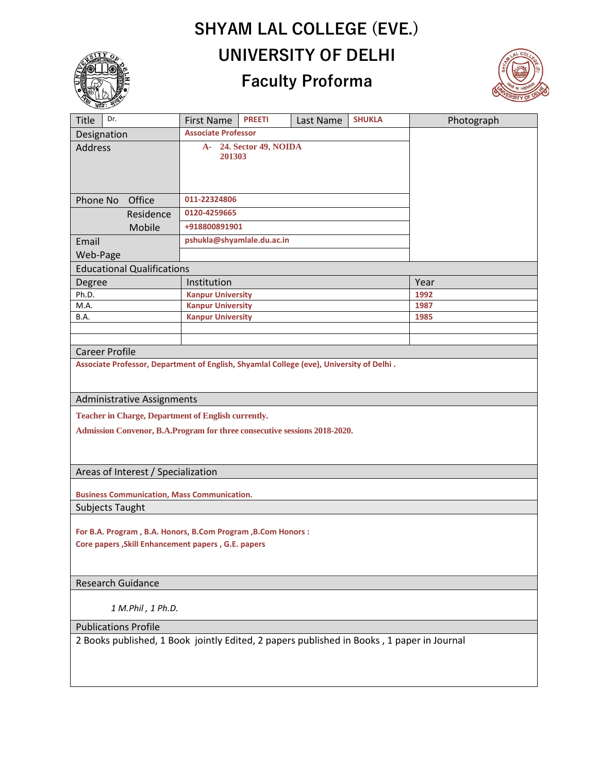# **SHYAM LAL COLLEGE (EVE.) UNIVERSITY OF DELHI**





| $\sim$ and $\sim$<br>Dr.<br>Title                                                         | <b>First Name</b>                                                         | <b>PREETI</b> | Last Name | <b>SHUKLA</b> | Photograph |
|-------------------------------------------------------------------------------------------|---------------------------------------------------------------------------|---------------|-----------|---------------|------------|
| Designation                                                                               | <b>Associate Professor</b>                                                |               |           |               |            |
| <b>Address</b>                                                                            | A- 24. Sector 49, NOIDA                                                   |               |           |               |            |
|                                                                                           | 201303                                                                    |               |           |               |            |
|                                                                                           |                                                                           |               |           |               |            |
|                                                                                           |                                                                           |               |           |               |            |
| Office<br>Phone No                                                                        | 011-22324806                                                              |               |           |               |            |
| Residence                                                                                 | 0120-4259665                                                              |               |           |               |            |
| Mobile                                                                                    | +918800891901                                                             |               |           |               |            |
| Email                                                                                     | pshukla@shyamlale.du.ac.in                                                |               |           |               |            |
| Web-Page                                                                                  |                                                                           |               |           |               |            |
| <b>Educational Qualifications</b>                                                         |                                                                           |               |           |               |            |
| Degree                                                                                    | Institution                                                               |               |           |               | Year       |
| Ph.D.                                                                                     | <b>Kanpur University</b>                                                  |               |           |               | 1992       |
| M.A.                                                                                      | <b>Kanpur University</b>                                                  |               |           |               | 1987       |
| B.A.                                                                                      | <b>Kanpur University</b>                                                  |               |           |               | 1985       |
|                                                                                           |                                                                           |               |           |               |            |
| <b>Career Profile</b>                                                                     |                                                                           |               |           |               |            |
| Associate Professor, Department of English, Shyamlal College (eve), University of Delhi.  |                                                                           |               |           |               |            |
|                                                                                           |                                                                           |               |           |               |            |
|                                                                                           |                                                                           |               |           |               |            |
| <b>Administrative Assignments</b>                                                         |                                                                           |               |           |               |            |
| Teacher in Charge, Department of English currently.                                       |                                                                           |               |           |               |            |
|                                                                                           | Admission Convenor, B.A.Program for three consecutive sessions 2018-2020. |               |           |               |            |
|                                                                                           |                                                                           |               |           |               |            |
|                                                                                           |                                                                           |               |           |               |            |
| Areas of Interest / Specialization                                                        |                                                                           |               |           |               |            |
|                                                                                           |                                                                           |               |           |               |            |
| <b>Business Communication, Mass Communication.</b>                                        |                                                                           |               |           |               |            |
| Subjects Taught                                                                           |                                                                           |               |           |               |            |
| For B.A. Program, B.A. Honors, B.Com Program, B.Com Honors:                               |                                                                           |               |           |               |            |
| Core papers, Skill Enhancement papers, G.E. papers                                        |                                                                           |               |           |               |            |
|                                                                                           |                                                                           |               |           |               |            |
|                                                                                           |                                                                           |               |           |               |            |
| Research Guidance                                                                         |                                                                           |               |           |               |            |
|                                                                                           |                                                                           |               |           |               |            |
| 1 M.Phil, 1 Ph.D.                                                                         |                                                                           |               |           |               |            |
| <b>Publications Profile</b>                                                               |                                                                           |               |           |               |            |
| 2 Books published, 1 Book jointly Edited, 2 papers published in Books, 1 paper in Journal |                                                                           |               |           |               |            |
|                                                                                           |                                                                           |               |           |               |            |
|                                                                                           |                                                                           |               |           |               |            |
|                                                                                           |                                                                           |               |           |               |            |
|                                                                                           |                                                                           |               |           |               |            |